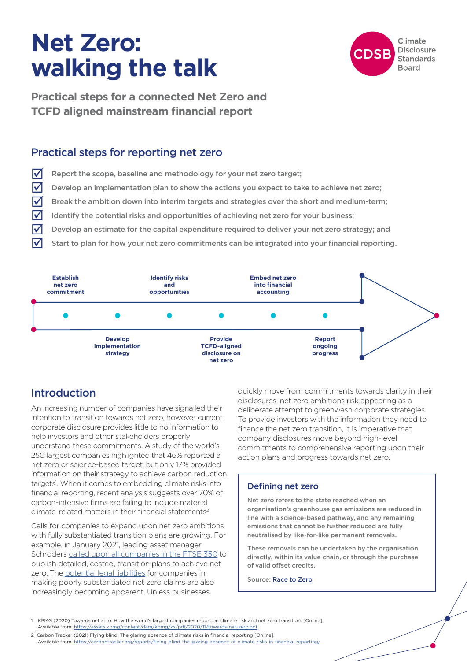# **Net Zero: walking the talk**



**Practical steps for a connected Net Zero and TCFD aligned mainstream financial report**

## Practical steps for reporting net zero

- $\sqrt{\phantom{a}}$  Report the scope, baseline and methodology for your net zero target;
- $\triangledown$  Develop an implementation plan to show the actions you expect to take to achieve net zero;
- $\triangledown$  Break the ambition down into interim targets and strategies over the short and medium-term;
- Identify the potential risks and opportunities of achieving net zero for your business;
- Develop an estimate for the capital expenditure required to deliver your net zero strategy; and
- Start to plan for how your net zero commitments can be integrated into your financial reporting.



# Introduction

An increasing number of companies have signalled their intention to transition towards net zero, however current corporate disclosure provides little to no information to help investors and other stakeholders properly understand these commitments. A study of the world's 250 largest companies highlighted that 46% reported a net zero or science-based target, but only 17% provided information on their strategy to achieve carbon reduction targets<sup>1</sup>. When it comes to embedding climate risks into financial reporting, recent analysis suggests over 70% of carbon-intensive firms are failing to include material climate-related matters in their financial statements2.

Calls for companies to expand upon net zero ambitions with fully substantiated transition plans are growing. For example, in January 2021, leading asset manager Schroders [called upon all companies in the FTSE 350](https://www.schroders.com/en/sysglobalassets/digital/insights/pdfs/2021-jan-ftse-350-letter-climate-change-planning.pdf) to publish detailed, costed, transition plans to achieve net zero. The [potential legal liabilities](https://www.reuters.com/business/sustainable-business/australian-environmental-group-sues-santos-over-clean-energy-claims-2021-08-26/) for companies in making poorly substantiated net zero claims are also increasingly becoming apparent. Unless businesses

quickly move from commitments towards clarity in their disclosures, net zero ambitions risk appearing as a deliberate attempt to greenwash corporate strategies. To provide investors with the information they need to finance the net zero transition, it is imperative that company disclosures move beyond high-level commitments to comprehensive reporting upon their action plans and progress towards net zero.

## Defining net zero

Net zero refers to the state reached when an organisation's greenhouse gas emissions are reduced in line with a science-based pathway, and any remaining emissions that cannot be further reduced are fully neutralised by like-for-like permanent removals.

These removals can be undertaken by the organisation directly, within its value chain, or through the purchase of valid offset credits.

Source: [Race to Zero](https://racetozero.unfccc.int/wp-content/uploads/2021/04/Race-to-Zero-Lexicon.pdf)

- 1 KPMG (2020) Towards net zero: How the world's largest companies report on climate risk and net zero transition. [Online]. Available from:<https://assets.kpmg/content/dam/kpmg/xx/pdf/2020/11/towards-net-zero.pdf>
- 2 Carbon Tracker (2021) Flying blind: The glaring absence of climate risks in financial reporting [Online]. Available from:<https://carbontracker.org/reports/flying-blind-the-glaring-absence-of-climate-risks-in-financial-reporting/>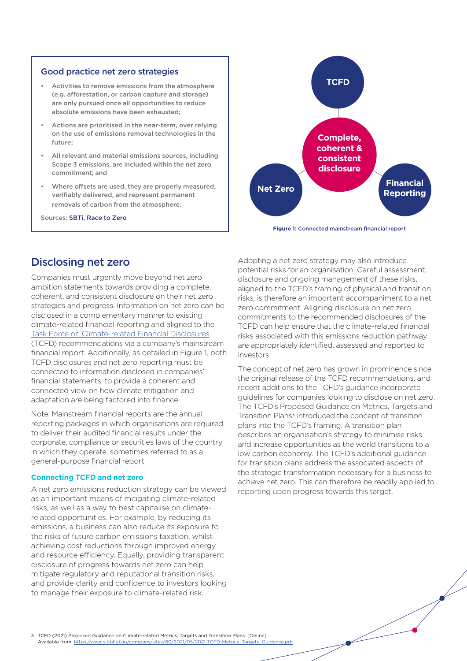### Good practice net zero strategies

- Activities to remove emissions from the atmosphere (e.g. afforestation, or carbon capture and storage) are only pursued once all opportunities to reduce absolute emissions have been exhausted;
- Actions are prioritised in the near-term, over relying on the use of emissions removal technologies in the future;
- All relevant and material emissions sources, including Scope 3 emissions, are included within the net zero commitment; and
- Where offsets are used, they are properly measured, verifiably delivered, and represent permanent removals of carbon from the atmosphere.

Sources: [SBTi](https://sciencebasedtargets.org/blog/what-is-good-net-zero), [Race to Zero](https://racetozero.unfccc.int/wp-content/uploads/2021/04/Race-to-Zero-Criteria-2.0.pdf)



**Figure 1:** Connected mainstream financial report

# Disclosing net zero

Companies must urgently move beyond net zero ambition statements towards providing a complete, coherent, and consistent disclosure on their net zero strategies and progress. Information on net zero can be disclosed in a complementary manner to existing climate-related financial reporting and aligned to the [Task Force on Climate-related Financial Disclosures](https://www.fsb-tcfd.org/recommendations/) (TCFD) recommendations via a company's mainstream financial report. Additionally, as detailed in Figure 1, both TCFD disclosures and net zero reporting must be connected to information disclosed in companies' financial statements, to provide a coherent and connected view on how climate mitigation and adaptation are being factored into finance.

Note: Mainstream financial reports are the annual reporting packages in which organisations are required to deliver their audited financial results under the corporate, compliance or securities laws of the country in which they operate, sometimes referred to as a general-purpose financial report

## **Connecting TCFD and net zero**

A net zero emissions reduction strategy can be viewed as an important means of mitigating climate-related risks, as well as a way to best capitalise on climaterelated opportunities. For example, by reducing its emissions, a business can also reduce its exposure to the risks of future carbon emissions taxation, whilst achieving cost reductions through improved energy and resource efficiency. Equally, providing transparent disclosure of progress towards net zero can help mitigate regulatory and reputational transition risks, and provide clarity and confidence to investors looking to manage their exposure to climate-related risk.

Adopting a net zero strategy may also introduce potential risks for an organisation. Careful assessment, disclosure and ongoing management of these risks, aligned to the TCFD's framing of physical and transition risks, is therefore an important accompaniment to a net zero commitment. Aligning disclosure on net zero commitments to the recommended disclosures of the TCFD can help ensure that the climate-related financial risks associated with this emissions reduction pathway are appropriately identified, assessed and reported to investors.

The concept of net zero has grown in prominence since the original release of the TCFD recommendations, and recent additions to the TCFD's guidance incorporate guidelines for companies looking to disclose on net zero. The TCFD's Proposed Guidance on Metrics, Targets and Transition Plans<sup>3</sup> introduced the concept of transition plans into the TCFD's framing. A transition plan describes an organisation's strategy to minimise risks and increase opportunities as the world transitions to a low carbon economy. The TCFD's additional guidance for transition plans address the associated aspects of the strategic transformation necessary for a business to achieve net zero. This can therefore be readily applied to reporting upon progress towards this target.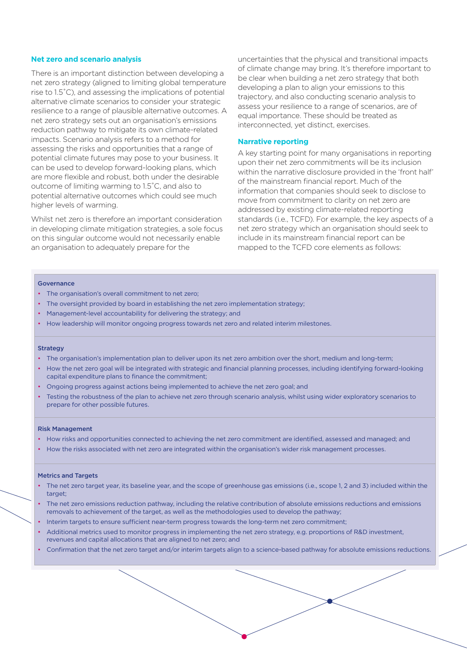#### **Net zero and scenario analysis**

There is an important distinction between developing a net zero strategy (aligned to limiting global temperature rise to 1.5˚C), and assessing the implications of potential alternative climate scenarios to consider your strategic resilience to a range of plausible alternative outcomes. A net zero strategy sets out an organisation's emissions reduction pathway to mitigate its own climate-related impacts. Scenario analysis refers to a method for assessing the risks and opportunities that a range of potential climate futures may pose to your business. It can be used to develop forward-looking plans, which are more flexible and robust, both under the desirable outcome of limiting warming to 1.5˚C, and also to potential alternative outcomes which could see much higher levels of warming.

Whilst net zero is therefore an important consideration in developing climate mitigation strategies, a sole focus on this singular outcome would not necessarily enable an organisation to adequately prepare for the

uncertainties that the physical and transitional impacts of climate change may bring. It's therefore important to be clear when building a net zero strategy that both developing a plan to align your emissions to this trajectory, and also conducting scenario analysis to assess your resilience to a range of scenarios, are of equal importance. These should be treated as interconnected, yet distinct, exercises.

#### **Narrative reporting**

A key starting point for many organisations in reporting upon their net zero commitments will be its inclusion within the narrative disclosure provided in the 'front half' of the mainstream financial report. Much of the information that companies should seek to disclose to move from commitment to clarity on net zero are addressed by existing climate-related reporting standards (i.e., TCFD). For example, the key aspects of a net zero strategy which an organisation should seek to include in its mainstream financial report can be mapped to the TCFD core elements as follows:

#### Governance

- The organisation's overall commitment to net zero;
- The oversight provided by board in establishing the net zero implementation strategy;
- Management-level accountability for delivering the strategy; and
- How leadership will monitor ongoing progress towards net zero and related interim milestones.

#### **Strategy**

- The organisation's implementation plan to deliver upon its net zero ambition over the short, medium and long-term;
- How the net zero goal will be integrated with strategic and financial planning processes, including identifying forward-looking capital expenditure plans to finance the commitment;
- Ongoing progress against actions being implemented to achieve the net zero goal; and
- Testing the robustness of the plan to achieve net zero through scenario analysis, whilst using wider exploratory scenarios to prepare for other possible futures.

#### Risk Management

- How risks and opportunities connected to achieving the net zero commitment are identified, assessed and managed; and
- How the risks associated with net zero are integrated within the organisation's wider risk management processes.

#### Metrics and Targets

- The net zero target year, its baseline year, and the scope of greenhouse gas emissions (i.e., scope 1, 2 and 3) included within the target:
- The net zero emissions reduction pathway, including the relative contribution of absolute emissions reductions and emissions removals to achievement of the target, as well as the methodologies used to develop the pathway;
- Interim targets to ensure sufficient near-term progress towards the long-term net zero commitment;
- Additional metrics used to monitor progress in implementing the net zero strategy, e.g. proportions of R&D investment, revenues and capital allocations that are aligned to net zero; and
- Confirmation that the net zero target and/or interim targets align to a science-based pathway for absolute emissions reductions.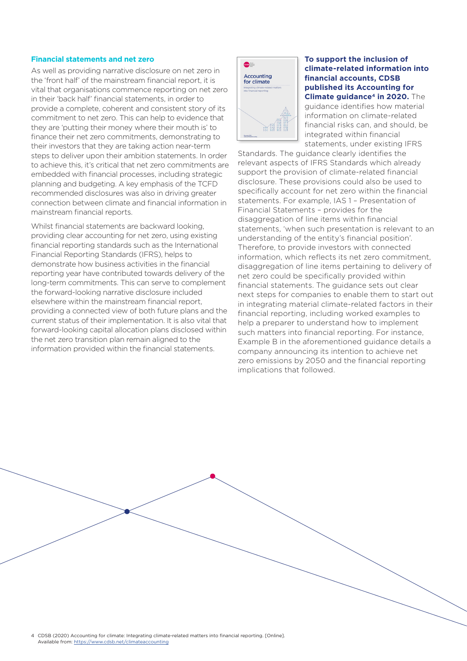#### **Financial statements and net zero**

As well as providing narrative disclosure on net zero in the 'front half' of the mainstream financial report, it is vital that organisations commence reporting on net zero in their 'back half' financial statements, in order to provide a complete, coherent and consistent story of its commitment to net zero. This can help to evidence that they are 'putting their money where their mouth is' to finance their net zero commitments, demonstrating to their investors that they are taking action near-term steps to deliver upon their ambition statements. In order to achieve this, it's critical that net zero commitments are embedded with financial processes, including strategic planning and budgeting. A key emphasis of the TCFD recommended disclosures was also in driving greater connection between climate and financial information in mainstream financial reports.

Whilst financial statements are backward looking, providing clear accounting for net zero, using existing financial reporting standards such as the International Financial Reporting Standards (IFRS), helps to demonstrate how business activities in the financial reporting year have contributed towards delivery of the long-term commitments. This can serve to complement the forward-looking narrative disclosure included elsewhere within the mainstream financial report, providing a connected view of both future plans and the current status of their implementation. It is also vital that forward-looking capital allocation plans disclosed within the net zero transition plan remain aligned to the information provided within the financial statements.



**To support the inclusion of climate-related information into financial accounts, CDSB published its Accounting for Climate guidance<sup>4</sup> in 2020.** The guidance identifies how material information on climate-related financial risks can, and should, be integrated within financial statements, under existing IFRS

Standards. The guidance clearly identifies the relevant aspects of IFRS Standards which already support the provision of climate-related financial disclosure. These provisions could also be used to specifically account for net zero within the financial statements. For example, IAS 1 – Presentation of Financial Statements – provides for the disaggregation of line items within financial statements, 'when such presentation is relevant to an understanding of the entity's financial position'. Therefore, to provide investors with connected information, which reflects its net zero commitment, disaggregation of line items pertaining to delivery of net zero could be specifically provided within financial statements. The guidance sets out clear next steps for companies to enable them to start out in integrating material climate-related factors in their financial reporting, including worked examples to help a preparer to understand how to implement such matters into financial reporting. For instance, Example B in the aforementioned guidance details a company announcing its intention to achieve net zero emissions by 2050 and the financial reporting implications that followed.

4 CDSB (2020) Accounting for climate: Integrating climate-related matters into financial reporting. [Online]. Available from:<https://www.cdsb.net/climateaccounting>